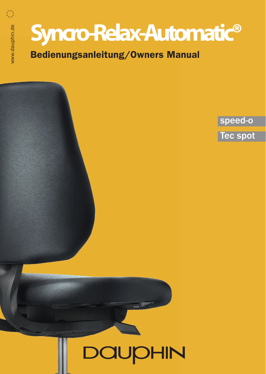Bedienungsanleitung/Owners Manual

www.dauphin.de

www.dauphin.de

Ö

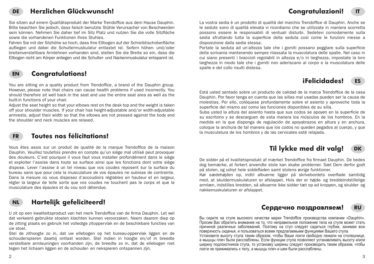## **Congratulazioni!**

#### **DE Herzlichen Glückwunsch!**

Sie sitzen auf einem Qualitätsprodukt der Marke Trendoffice aus dem Hause Dauphin. Bitte beachten Sie jedoch, dass falsch benutzte Stühle Verursacher von Beschwerden sein können. Nehmen Sie daher tief im Sitz Platz und nutzen Sie die volle Sitzfläche sowie die vorhandenen Funktionen Ihres Stuhles.

Fahren Sie mit der Sitzhöhe so hoch, dass Ihre Ellbogen auf der Schreibtischoberfläche aufliegen und dabei die Schultermuskulatur entlastet ist. Sofern höhen- und/oder breitenverstellbare Armlehnen vorhanden sind, stellen Sie die Breite so ein, dass die Ellbogen nicht am Körper anliegen und die Schulter- und Nackenmuskulatur entspannt ist.

#### **EN Congratulations!**

You are sitting on a quality product from Trendoffice, a brand of the Dauphin group. However, please note that chairs can cause health problems if used incorrectly. You should therefore sit well back in the seat and use the entire seat area as well as the built-in functions of your chair.

Adjust the seat height so that your elbows rest on the desk top and the weight is taken off your shoulder muscles. If your chair has height-adjustable and/or width-adjustable armrests, adjust their width so that the elbows are not pressed against the body and the shoulder and neck muscles are relaxed.

### **FR**

### **Toutes nos félicitations!**

Vous êtes assis sur un produit de qualité de la marque Trendoffice de la maison Dauphin. Veuillez toutefois prendre en compte qu'un siège mal utilisé peut provoquer des douleurs. C'est pourquoi il vous faut vous installer profondément dans le siège et exploiter l'assise dans toute sa surface ainsi que les fonctions dont votre siège dispose. Lever l'assise à un tel niveau que vos coudes reposent sur la surface du bureau sans que pour cela la musculature de vos épaules ne subisse de contrainte. Dans la mesure où vous disposez d'accoudoirs réglables en hauteur et en largeur, régler la largeur de telle sorte que vos coudes ne touchent pas le corps et que la musculature des épaules et du cou soit détendue.



### **Hartelijk gefeliciteerd!**

U zit op een kwaliteitsproduct van het merk Trendoffice van de firma Dauphin. Let wel dat verkeerd gebruikte stoelen klachten kunnen veroorzaken. Neem daarom diep op de zitting plaats en gebruik het volledige zitoppervlak en de beschikbare functies van uw stoel.

Stel de zithoogte zo in, dat uw ellebogen op het bureau-oppervlak liggen en de schouderspieren daarbij ontlast worden. Stel indien in hoogte en/of in breedte verstelbare armleuningen voorhanden zijn, de breedte zo in, dat de ellebogen niet tegen het lichaam liggen en de schouder- en nekspieren ontspannen zijn.

La vostra sedia è un prodotto di qualità del marchio Trendoffice di Dauphin. Anche se le sedute sono di qualità elevata vi ricordiamo che se utilizzate in maniera scorretta possono essere le responsabili di ventuali disturbi. Sedetevi comodamente sulla sedia sfruttando tutta la superficie della seduta così come le funzioni messe a disposizione dalla sedia stessa.

Portate la seduta ad un'altezza tale che i gomiti possano poggiare sulla superficie della scrivania mantenendo sempre rilassata la muscolatura delle spalle. Nel caso in cui siano presenti i braccioli regolabili in altezza e/o in larghezza, impostate la loro larghezza in modo tale che i gomiti non aderiscano al corpo e la muscolatura delle spalle e del collo risulti distesa.



**IT**

Está usted sentado sobre un producto de calidad de la marca Trendoffice de la casa Dauphin. Por favor tenga en cuenta que las sillas mal usadas pueden ser la causa de molestias. Por ello, colóquese profundamente sobre el asiento y aproveche toda la superficie del mismo así como las funciones disponibles de su silla.

Suba usted la altura del asiento hasta que sus codos se apoyen en la superficie de su escritorio y se descarguen de esta manera los músculos de los hombros. En la medida en la que disponga de regulación de apoyabrazos en altura y en anchura, coloque la anchura de tal manera que los codos no queden pegados al cuerpo, y que la musculatura de los hombros y de las cervicales esté relajada.

#### **DK Til lykke med dit valg!**

De sidder på et kvalitetsprodukt af mærket Trendoffice fra firmaet Dauphin. De bedes dog bemærke, at forkert anvendte stole kan skabe problemer. Sæt Dem derfor godt på stolen, og udnyt hele siddefladen samt stolens øvrige funktioner.

Kør sædehøjden op, indtil albuerne ligger på skrivebordets overflade samtidig med, at skuldermuskulaturen er afslappet. Hvis der er højde- og breddeindstillelige armlæn, indstilles bredden, så albuerne ikke sidder tæt op ad kroppen, og skulder- og nakkemuskulaturen er afslappet.

#### **RU Сердечно поздравляем!**

Вы сидите на стуле высокого качества марки Trendoffice производства компании «Dauphin». Просим Вас обратить внимание на то, что неправильное положение тела на стуле может стать причиной различных заболеваний. Поэтому на стул следует садиться глубже, занимая всю поверхность сиденья, и пользоваться всеми предлагаемыми функциями Вашего стула.

Установите высоту стула таким образом, чтобы Ваши локти свободно лежали на столешнице, а мышцы плеч были расслаблены. Если функции стула позволяют устанавливать высоту и/или ширину подлокотников стула, то установку ширины следует производить таким образом, чтобы локти не прижимались к телу, а мышцы плеч и шеи были расслаблены.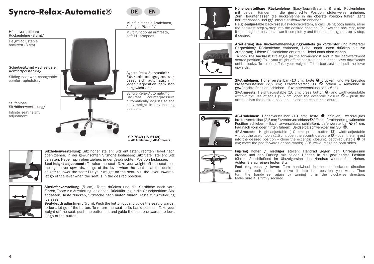

Height-adjustable backrest (8 cm)

Schiebesitz mit wechselbarer Komfortpolsterung/

Sliding seat with changeable comfort upholstery

Sitzhöhenverstellung/

Infinite seat-height adjustment



DE EN

Multifunktionale Armlehnen, Auflagen PU soft/

Multi-functional armrests, soft PU armpads

SP 7649 (IS 2149) + 4F-Armlehnen/ 4F-Armrests



Höhenverstellbare Rückenlehne (Easy-Touch-System, 8 cm): Rückenlehne mit beiden Händen in die gewünschte Position stufenweise anheben. Zum Herunterlassen die Rückenlehne in die oberste Position führen, ganz herunterlassen und ggf. erneut stufenweise anheben.

**Height-adjustable backrest** (Easy-Touch-System, 8 cm): Using both hands, raise the backrest step-by-step into the desired position. To lower the backrest, raise it to its highest position, lower it completely and then raise it again step-by-step, if desired.



Arretierung des Rückenlehnenneigungswinkels (in vorderster und hinterster Sitzposition): Rückenlehne entlasten. Hebel nach unten drücken bis zur Arretierung. Lösen: Rückenlehne entlasten, Hebel nach oben ziehen.

To lock the backrest tilt angle (in the forwardmost and in the backwardmost seated position): Take your weight off the backrest and push the lever downwards until it locks. To release: Take your weight off the backrest and pull the lever upwards.



2F-Armlehnen: Höhenverstellbar (10 cm; Taste ➊ drücken) und werkzeuglos breitenverstellbar (2,5 cm; Exzenterverschluss ➋ öffnen – Armlehne in gewünschte Position schieben – Exzenterverschluss schließen).

2F-Armrests: Height-adjustable (10 cm; press button ➊) and width-adjustable without the use of tools (2,5 cm; open the eccentric closure  $\bullet$  – push the Stufenlose **and the control of the control of the desired position** – close the eccentric closure).



4F-Armlehnen: Höhenverstellbar (10 cm; Taste ➊ drücken), werkzeuglos breitenverstellbar (2,5 cm; Exzenterverschluss ➋ öffnen – Armlehne in gewünschte Position schieben – Exzenterverschluss schließen), tiefenverstellbar <sup>●</sup> (4 cm; Pad nach vorn oder hinten führen). Beidseitig schwenkbar um 30° <sup>o.</sup>

4F-Armrests: Height-adjustable (10 cm; press button  $\bullet$ ), width-adjustable without the use of tools (2,5 cm; open the eccentric closure  $\bullet$  – push the armrest into the desired position – close the eccentric closure), depth-adjustable  $\bigcirc$  (4 cm; move the pad forwards or backwards). 30° swivel range on both sides.



Fußring höher / niedriger stellen: Handrad gegen den Uhrzeigersinn drehen und den Fußring mit beiden Händen in die gewünschte Position führen. Anschließend im Uhrzeigersinn das Handrad wieder fest ziehen. Achten Sie auf einen festen Sitz.

Foot ring raise / lower: Turn handwheel in the anticlockwise direction and use both hands to move it into the position you want. Then turn the handwheel again by turning it in the clockwise direction. Make sure it is firmly secured.



Sitzhöhenverstellung: Sitz höher stellen: Sitz entlasten, rechten Hebel nach oben ziehen, in der gewünschten Sitzhöhe loslassen; Sitz tiefer stellen: Sitz belasten, Hebel nach oben ziehen, in der gewünschten Position loslassen. Seat-height adjustment: To raise the seat: Take your weight off the seat, pull the right lever upwards, let go of the lever when the seat is at the desired height; to lower the seat: Put your weight on the seat, pull the lever upwards, let go of the lever when the seat is in the desired position.



Sitztiefenverstellung (5 cm): Taste drücken und die Sitzfläche nach vorn führen, Taste zur Arretierung loslassen. Rückführung in die Grundposition: Sitz entlasten, Taste drücken, Sitzfläche nach hinten führen. Taste zur Arretierung loslassen.

**Seat-depth adjustment** (5 cm): Push the button out and guide the seat forwards, to lock, let go of the button. To return the seat to its basic position: Take your weight off the seat, push the button out and guide the seat backwards; to lock, let go of the button.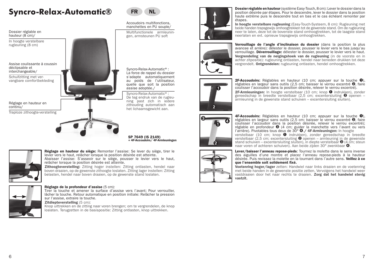Dossier réglable en hauteur (8 cm)/

In hoogte verstelbare rugleuning (8 cm)

Assise coulissante à coussin déclipsable et interchangeable/

Schuifzitting met vervangbare comfortbekleding

Réglage en hauteur en continu/ Traploze zithoogte-verstelling

ning past zich in iedere zithouding automatisch aan het lichaamsgewicht aan.

SP 7649 (IS 2149) + 4F-Accoudoirs/ 4F-Armleuningen



Réglage de la profondeur d'assise (5 cm):

Tirer la touche et amener la surface d'assise vers l'avant; Pour verrouiller, lâcher la touche. Retour automatique en position initiale: Relâcher la pression sur l'assise, extraire la touche.

Zitdiepteverstelling (5 cm):

Knop uittrekken en de zitting naar voren brengen; om te vergrendelen, de knop loslaten. Terugzetten in de basispositie: Zitting ontlasten, knop uittrekken.



Accoudoirs multifonctions, manchettes en PU souple/

Multifunctionele armleuningen, armsteunen PU soft

Syncro-Relax-Automatic®: La force de rappel du dossier s'adapte automatiquement au poids de l'utilisateur, quelle que soit la position assise adoptée./ Syncro-Relax-Automatic®: De teg endruk van de rugleu-



Dossier réglable en hauteur (système Easy-Touch, 8 cm): Lever le dossier dans la position désirée par étapes. Pour le descendre, lever le dossier dans la position haute extrême puis le descendre tout en bas et le cas échéant remonter par étapes.

In hoogte verstelbare rugleuning (Easy-Touch-Systeem, 8 cm): Rugleuning met beide handen trapsgewijs omhoogtrekken tot de gewenste stand. Om de rugleuning neer te laten, deze tot de bovenste stand omhoogtrekken, tot de laagste stand neerlaten en evt. opnieuw trapsgewijs omhoogtrekken.



Verrouillage de l'angle d'inclinaison du dossier (dans la position la plus avancee et arrière): délester le dossier, pousser le levier vers le bas jusqu'au verrouillage. Déverrouillage: délester le dossier, pousser le levier vers le haut. Vergrendeling van de neigingshoek van de rugleuning (in de voorste en in achter zitpositie): rugleuning ontlasten, hendel naar beneden drukken tot deze vergrendelt. Ontgrendelen: rugleuning ontlasten, hendel omhoogtrekken.



2F-Accoudoirs: Réglables en hauteur (10 cm; appuyer sur la touche ➊), réglables en largeur sans outils (2,5 cm; baisser le verrou excentré ➋, faire coulisser l'accoudoir dans la position désirée, relever le verrou excentré). 2F-Armleuningen: In hoogte verstelbaar (10 cm; knop ❶ indrukken), zonder gereedschap in breedte verstelbaar (2,5 cm; excentersluiting  $\bullet$  openen – armleuning in de gewenste stand schuiven – excentersluiting sluiten).



4F-Accoudoirs: Réglables en hauteur (10 cm; appuyer sur la touche  $\bullet$ ), réglables en largeur sans outils (2,5 cm; baisser le verrou excentré ➋, faire coulisser l'accoudoir dans la position désirée, relever le verrou excentré); réglable en profondeur ➌ (4 cm; guider la manchette vers l'avant ou vers l'arrière). Pivotables tous deux de 30° ➍./ 4F-Armleuningen: In hoogte

verstelbaar (10 cm; knop  $\bullet$  indrukken), zonder gereedschap in breedte verstelbaar (2,5 cm; excentersluiting  $\bullet$  openen – armleuning in de gewenste stand schuiven – excentersluiting sluiten), in diepte verstelbaar <sup>●</sup> (4 cm; steun naar voren of achteren schuiven). Aan beide zijden 30° zwenkbaar ●.



Lever/baisser l'anneau repose-pieds: Tournez la molette dans le sens inverse des aiguilles d'une montre et placez l'anneau repose-pieds à la hauteur désirée. Puis revissez la molette en la tournant dans l'autre sens. Veillez à ce que l'ensemble soit solidement fixé.

Voetenring hoger/lager zetten: Handwiel naar links draaien en de voetenring met beide handen in de gewenste positie zetten. Vervolgens het handwiel weer vastdraaien door het naar rechts te draaien. Zorg dat het handwiel stevig vastzit.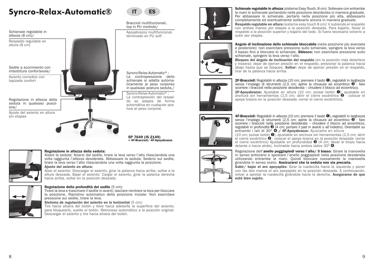Schienale regolabile in altezza (8 cm)/

Respaldo regulable en altura (8 cm)

Sedile a scorrimento con imbottitura confortevole/

Asiento corredizo con tapizado confort

Regolazione in altezza della seduta in qualsiasi posizione/

Ajuste del asiento en altura sin etapas



IT DIES

Braccioli multifunzionali, top in PU morbido/

Apoyabrazos multifuncional, terminado en PU soft



Syncro-Relax-Automatic®: La contrapresión del respaldo se adapta de forma automática en cualquier postura al peso corporal.

SP 7649 (IS 2149) + 4F-Braccioli/ 4F-Apoyabrazos

#### Regolazione in altezza della seduta:

Alzare la seduta: Alzarsi dal sedile, tirare la leva verso l'alto rilasciandola una volta raggiunta l'altezza desiderata. Abbassare la seduta: Sedersi sul sedile, tirare la leva verso l'alto rilasciandola una volta raggiunta la posizione.

#### Ajuste del asiento en altura:

Alzar el asiento: Descargar el asiento, girar la palanca hacia arriba, soltar a la altura deseada. Bajar el asiento: Cargar el asiento, girar la palanca derecha hacia arriba, soltar en la posición deseada.



#### Regolazione della profondità del sedile (5 cm):

Tirare la leva e trascinare il sedile in avanti; lasciare rientrare la leva per bloccare la posizione. Ripristino automatico della posizione iniziale: Non esercitare pressione sul sedile, tirare la leva.

#### Sistema de regulación del asiento en la horizontal (5 cm):

Tire hacia afuera del botón y lleve hacia adelante la superficie del asiento; para bloquearlo, suelte el botón. Retroceso automático a la posición original: Descargar el asiento y tire hacia afuera del botón.



Schienale regolabile in altezza (sistema Easy-Touch, 8 cm): Sollevare con entrambe le mani lo schienale portandolo nella posizione desiderata in maniera graduale. Per abbassare lo schienale, portarlo nella posizione più alta, abbassarlo completamente ed eventualmente sollevarlo ancora in maniera graduale.

Respaldo regulable en altura (sistema easy touch 8 cm): Ir subiendo el respaldo con ambas manos por etapas a la posición deseada. Para bajarlo, llevar el respaldo a la posición superior y bajarlo del todo. Si fuera necesario volverlo a subir por etapas.



Angolo di inclinazione dello schienale bloccabile (nella posizione più avanzata e posteriore): non esercitare pressione sullo schienale, spingere la leva verso il basso fino a bloccare lo schienale. **Sblocco:** non esercitare pressione sullo schienale, spingere la leva verso l'alto. Bloqueo del ángulo de inclinación del respaldo (en la posición más delantera

y trasera): dejar de ejercer presión en el respaldo, presionar la palanca hacia abajo hasta que se bloquee. Soltar: dejar de ejercer presión en el respaldo, tirar de la palanca hacia arriba.



2F-Braccioli: Regolabili in altezza (10 cm; premere il tasto ➊), regolabili in larghezza senza l'impiego di strumenti (2,5 cm; aprire la chiusura ad eccentrico © - fare scorrere i braccioli nella posizione desiderata – chiudere il blocco ad eccentrico).

2F-Apovabrazos: Ajustable en altura (10 cm; pulsar botón  $\mathbf{0}$ ), ajustable en anchura sin herramientas (2,5 cm; abrir el cierre excéntrico <sup>➋</sup> - colocar el apoya brazos en la posición deseada- cerrar el cierre excéntrico).



4F-Braccioli: Regolabili in altezza (10 cm; premere il tasto <sup>O</sup>), regolabili in larghezza<br>senza l'impiego di strumenti (2,5 cm; aprire la chiusura ad eccentrico <sup>O</sup> - fare senza l'impiego di strumenti (2,5 cm; aprire la chiusura ad eccentrico  $\bullet$  - fare scorrere i braccioli nella posizione desiderata – chiudere il blocco ad eccentrico), regolabili in profondità <sup>➌</sup> (4 cm; portare il pad in avanti o all'indietro). Orientabili su entrambi i lati di 30° <sup>➍</sup>./ 4F-Apoyabrazos: Ajustable en altura

(10 cm; pulsar botón <sup>➊</sup>), ajustable en anchura sin herramientas (2,5 cm; abrir el cierre excéntrico <sup>➋</sup> - colocar el apoya brazos en la posición deseada- cerrar el cierre excéntrico) Ajustable en profundidad <sup>●</sup> (4 cm; llevar el brazo hacia delante o hacia atrás). Inclinable hacia ambos lados 30° **◎**.



Regolazione dell'anello poggiapiedi verso l'alto/ il basso: Girare la manovella in senso antiorario e spostare l'anello poggiapiedi nella posizione desiderata utilizzando entrambe le mani. Quindi bloccare nuovamente la manovella girandola in senso orario. Assicurarsi che la seduta non sia precaria.

Subir/ bajar el aro apovapiés: Girar la ruedecilla hacia la izquierda y poner con las dos manos el aro apoyapiés en la posición deseada. A continuación, volver a apretar la ruedecilla girándola hacia la derecha. Asegurarse de que esté bien sujeto.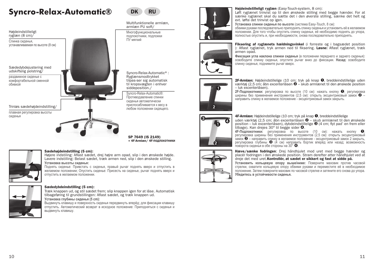

ryglæn (8 cm)/

Спинка сиденья, устанавливаемая по высоте (8 см)

Sædedybdejustering med udskiftelig polstring/

раздвижное сиденье с комфортабельной сменной обивкой

Trinløs sædehøjdeindstilling/

плавная регулировка высоты сиденья





Multifunktionelle armlæn, armlæn PU soft/

Многофункциональные подлокотники, подложки ПУ мягкий



Syncro-Relax-Automatic®: Противодавление спинки сиденья автоматически приспосабливается к весу в любом положении сидящего.

SP 7649 (IS 2149) + 4F-Armlæn/ 4F**-подлокотники**

#### Sædehøjdeindstilling (5 cm):

Højere indstiling: Aflast sædet, drej højre arm opad, slip i den ønskede højde. Lavere indstilling: Belast sædet, træk armen ned, slip i den ønskede stilling. **Установка высоты сиденья:**

Поднять сиденье: Привстать с сиденья, правый рычаг поднять вверх и отпустить в желаемом положении; Опустить сиденье: Присесть на сиденье, рычаг поднять вверх и отпустить в желаемом положении.



#### Sædedybdeindstilling (5 cm):

Træk knappen ud, og stil sædet frem; slip knappen igen for at låse. Automatisk tilbageføring til grundstillingen: Aflast sædet, og træk knappen ud. **Установка глубины сиденья (5 cm):**

Выдвинуть клавишу и поверхность сиденья передвинуть вперёд; для фиксации клавишу отпустить. Автоматический возврат в исходное положение: Приподняться с сиденья и выдвинуть клавишу.



+ –



**Установка спинки сиденья по высоте** (система Easy-Touch, 8 см):

обеими руками последовательно приподнять спинку сиденья и установить её в желаемом положении. Для того чтобы опустить спинку сиденья, её необходимо поднять до упора, полностью опустить и, при необходимости, снова последовательно приподнять. Fiksering af ryglænets hældningsvinkel (i forreste og i bagsædet position



): Aflast ryglænet, tryk armen ned til fiksering. Løsne: Aflast ryglænet, træk armen opad. **Фиксация угла наклона спинки сиденья** (в положении переднего и заднего сиденья): освободите спинку сиденья, опустите рычаг вниз до фиксации. **Назад:** освободите спинку сиденья, поднимите рычаг вверх.



2F-Armlæn: Højdeindstillelige (10 cm; tryk på knap <sup>➊</sup>, breddeindstillelige uden værktøj (2,5 cm; åbn excenterlåsen <sup>➋</sup> – skub armlænet til den ønskede position – luk excenterlåsen).

**2F-Подлокотники:** регулировка по высоте (10 см): нажать кнопку ●; регулировка<br>ширины без применения инструментов (2,5 см): открыть эксцентриковый замок ● -<br>направить спинку в желаемое положение - эксцентриковый замок за



4F-Armlæn: Højdeindstillelige (10 cm; tryk på knap ❶, breddeindstillelige<br>uden værktøj (2.5 cm: åbn excenterlåsen ❷ – skub armlænet til den ønskede

position – luk excenterlåsen), dybdeindstillelige **◎** (4 cm; flyt pad' en frem eller tilbage). Kan drejes 30° til begge sider **Ø.**<br>dibage). Kan drejes 30° til begge sider **Ø.**<br>4F-Ποдпокотники: регулировка по высоте (10 с

**регулировка ширины без применения инструментов (2,5 см): открыть эксцентриковый<br>замок <sup>•</sup> — направить спинку в желаемое положение - эксцентриковый замок 2 закрыть,** замок – направить слинку в желаемое положение списку в желаемое положение с положение с поворота сиденья в обе стороны на 30°  $\bullet$ .



Hæve/sænke fodringen: Drej håndhjulet mod uret med begge hænder og placér fodringen i den ønskede position. Stram derefter atter håndhjulet ved at dreje det med uret.Kontrollér, at sædet er sikkert og fast at sidde på.

**Установить кольцевую опору выше/ниже:** Поверните маховик против часовой стрелки, охватите кольцевую опору обеими руками и переместите её в необходимое положение. Затем поверните маховик по часовой стрелке и затяните его снова до упора. **Убедитесь в устойчивости сиденья.**

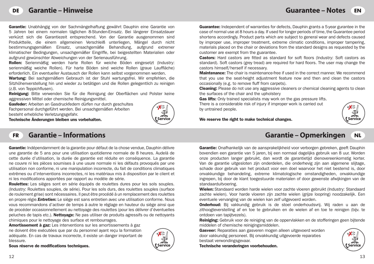Garantie: Unabhängig von der Sachmängelhaftung gewährt Dauphin eine Garantie von 5 Jahren bei einem normalen täglichen 8-Stunden-Einsatz. Bei längerer Einsatzdauer verkürzt sich die Garantiezeit entsprechend. Von der Garantie ausgenommen sind Produktteile, die einem allgemeinen Verschleiß unterliegen, Mängel durch nicht bestimmungsgemäßen Einsatz, unsachgemäße Behandlung, aufgrund extremer klimatischer Bedingungen, unsachgemäßer Eingriffe, bei beigestellten Materialien oder aufgrund gewünschter Abweichungen von der Serienausführung.

Rollen: Serienmäßig werden harte Rollen für weiche Böden eingesetzt (Industry: serienmäßig weiche Rollen). Für harte Böden sind weiche Rollen (graue Lauffläche) erforderlich. Ein eventueller Austausch der Rollen kann selbst vorgenommen werden.

Wartung: Bei sachgemäßem Gebrauch ist der Stuhl wartungsfrei. Wir empfehlen, die Sitzhöhenverstellung hin und wieder zu betätigen und die Rollen gelegentlich zu reinigen (z.B. von Teppichflusen).

Reinigung: Bitte verwenden Sie für die Reinigung der Oberflächen und Polster keine aggressiven Mittel oder chemische Reinigungsmittel.

Gasfeder: Arbeiten an Gasdruckfedern dürfen nur durch geschultes Fachpersonal durchgeführt werden. Bei unsachgemäßen Arbeiten besteht erhebliche Verletzungsgefahr.

Technische Änderungen bleiben uns vorbehalten.



Guarantee: Independent of warranties for defects, Dauphin grants a 5-year gurantee in the case of normal use at 8 hours a day. If used for longer periods of time, the Guarantee period shortens accordingly. Product parts which are subject to general wear and defects caused by improper use, improper treatment, extreme climatic conditions, improper tampering, materials placed on the chair or deviations from the standard designs as requested by the customer are exempt from the guarantee.

**Castors:** Hard castors are fitted as standard for soft floors (Industry: Soft castors as standard). Soft castors (grey tread) are required for hard floors. The user may change the castors himself/herself if necessary.

**Maintenance:** The chair is maintenance-free if used in the correct manner. We recommend that you use the seat-height adjustment feature now and then and clean the castors occasionally (e.g. to remove fluff from carpets).

**Cleaning:** Please do not use any aggressive cleaners or chemical cleaning agents to clean the surfaces of the chair and the upholstery

Gas lifts: Only trained specialists may work on the gas pressure lifts. There is a considerable risk of injury if improper work is carried out by untrained people.



Service *Service* **Service Service Service Service Service Service Service Service Service Service Service Service Service Service Service Service Service Service Service Service S** 

## **Garantie – Informations**

Garantie: Indépendamment de la garantie pour défaut de la chose vendue, Dauphin délivre une garantie de 5 ans pour une utilisation quotidienne normale de 8 heures. Audelà de cette durée d'utilisation, la durée de garantie est réduite en conséquence. La garantie ne couvre ni les pièces soumises à une usure normale ni les défauts provoqués par une utilisation non conforme, ni une manipulation incorrecte, du fait de conditions climatiques extrêmes ou d'interventions incorrectes, ni les matériaux mis à disposition par le client et ni les modifications apportées par rapport au modèle de série.

Roulettes: Les sièges sont en série équipés de roulettes dures pour les sols souples. (Industry: Roulettes souples, de série). Pour les sols durs, des roulettes souples (surface de roulement grise) sont nécessaires. Il peut être procédé à un remplacement des roulettes en propre régie. Entretien: Le siège est sans entretien avec une utilisation conforme. Nous vous recommandons d'activer de temps à autre le réglage en hauteur du siège ainsi que de procéder occasionnellement au nettoyage des roulettes (pour les délivrer d'éventuelles peluches de tapis etc.). **Nettoyage:** Ne pas utiliser de produits agressifs ou de nettoyants chimiques pour le nettoyage des surface et rembourrages.

Amortissement à gaz: Les interventions sur les amortissements à gaz ne doivent être exécutées que par du personnel ayant reçu la formation adéquate. En cas de travaux incorrecte, il existe un danger important de blessure.





# **FR** Garantie – Informations and the contract of the contract of the contract of the Garantie – Opmerkingen and

Garantie: Onafhankelijk van de aansprakelijkheid voor verborgen gebreken, geeft Dauphin bovendien een garantie van 5 jaren, bij een normaal dagelijks gebruik van 8 uur. Worden onze producten langer gebruikt, dan wordt de garantietijd dienovereenkomstig korter. Van de garantie uitgesloten zijn onderdelen, die onderhevig zijn aan algemene slijtage, schade door gebruik van het product voor een doel waarvoor het niet bestemd is, door onvakkundige behandeling, extreme klimatologische omstandigheden, onvakkundige ingrepen, bij door de klant toegestuurde materialen of door gewenste afwijkingen van de standaarduitvoering.

Wielen: Standaard worden harde wielen voor zachte vloeren gebruikt (Industry: Standaard zachte wielen). Voor harde vloeren zijn zachte wielen (grijze loopring) noodzakelijk. Een eventuele vervanging van de wielen kan zelf uitgevoerd worden.

Onderhoud: Bij vakkundig gebruik is de stoel onderhoudsvrij. Wij raden u aan de zithoogteverstelling af en toe te gebruiken en de wielen af en toe te reinigen (bijv. te ontdoen van tapijtvezels).

Reiniging: Gebruik voor de reiniging van de oppervlakken en de stofferingen geen bijtende middelen of chemische reinigingsmiddelen.

Gasveer: Reparaties aan gasveren mogen alleen uitgevoerd worden door vakkundig personeel. Bij onvakkundig uitgevoerde reparaties bestaat verwondingsgevaar.



**Service Service** Technische veranderingen voorbehouden.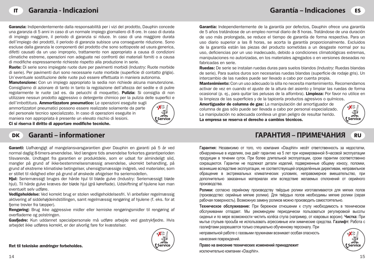Garanzia: Indipendentemente dalla responsabilità per i vizi del prodotto. Dauphin concede una garanzia di 5 anni in caso di un normale impiego giornaliero di 8 ore. In caso di durata di impiego maggiore, il periodo di garanzia si riduce. In caso di una maggiore durata dell'impiego dei prodotti, il periodo di garanzia subisce una conseguente riduzione. Sono escluse dalla garanzia le componenti del prodotto che sono sottoposte ad usura generica, difetti causati da un uso improprio, trattamento non appropriato a causa di condizioni climatiche estreme, operazioni non adeguate nei confronti dei materiali forniti o a causa di modifiche espressamente richieste rispetto alla produzione in serie.

Ruote: Di serie sono impiegate ruote dure per pavimenti morbidi (Industry: Ruote morbide di serie). Per pavimenti duri sono necessarie ruote morbide (superficie di contatto grigia). Un'eventuale sostituzione delle ruote può essere effettuata in maniera autonoma.

Manutenzione: Con un impiego appropriato la sedia non richiede alcuna manutenzione. Consigliamo di azionare di tanto in tanto la regolazione dell'altezza del sedile e di pulire regolarmente le ruote (ad es. da pelucchi di moquette). **Pulizia:** Si consiglia di non utilizzare nessun prodotto aggressivo o detergente chimico per la pulizia delle superfici e

dell'imbottitura. Ammortizzatore pneumatico: Le operazioni eseguite sugli ammortizzatori pneumatici possono essere realizzate solamente da parte del personale tecnico specializzato. In caso di operazioni eseguite in maniera non appropriata è presente un elevato rischio di lesioni. Ci si riserva il diritto di apportare modifiche tecniche.



**Garanti – informationer**

Garanti: Uafhængigt af mangelansvarsgarantien giver Dauphin en garanti på 5 år ved normal daglig 8-timers-anvendelse. Ved længere tids anvendelse forkortes garantiperioden tilsvarende. Undtaget fra garantien er produktdele, som er udsat for almindeligt slid, mangler på grund af ikke-bestemmelsesmæssig anvendelse, ukorrekt behandling, på grund af ekstreme klimatiske betingelser, uhensigtsmæssige indgreb, ved materialer, som er stillet til rådighed eller på grund af ønskede afvigelser fra seriemodellen.

Hjul: Seriemæssigt bruges der hårde hjul til bløde gulve (Industry: Seriemæssigt bløde hjul). Til hårde gulve kræves der bløde hjul (grå køreflade). Udskiftning af hjulene kan man eventuelt selv udføre.

Vedligeholdelse: Ved korrekt brug er stolen vedligeholdelsesfri. Vi anbefaler regelmæssig aktivering af siddehøjdeindstillingen, samt regelmæssig rengøring af hjulene (f. eks. for at fjerne trevler fra tæpper).

Rengøring: Brug ikke aggressive midler eller kemiske rengøringsmidler til rengøring af overfladerne og polstringen.

Gasfiedre: Kun uddannet specialpersonale må udføre arbeide ved gastrykfiedre. Hvis arbejdet ikke udføres korrekt, er der alvorlig fare for kvæstelser.

Ret til tekniske ændringer forbeholdes.



Garantía: Independientemente de la garantía por defectos, Dauphin ofrece una garantía de 5 años tratándose de un empleo normal diario de 8 horas. Tratándose de una duración de uso más prolongada, se reduce el tiempo de garantía de forma respectiva. Para un uso diario superior a las 8 horas, se acorta la garantía proporcionalmente. Excluidos de la garantía están las piezas del producto sometidas a un desgaste normal por su uso, deficiencias por un uso inadecuado, debido a condiciones climatológicas extremas, manipulaciones no autorizadas, en los materiales agregados o en versiones deseadas no fabricadas en serie.

Ruedas: De serie se instalan ruedas duras para suelos blandos (Industry: Ruedas blandas de serie). Para suelos duros son necesarias ruedas blandas (superficie de rodaje gris). Un intercambio de las ruedes puede ser llevado a cabo por cuenta propia.

Mantenimiento: Con un uso adecuado la silla no necesita mantenimiento. Recomendamos activar de vez en cuando el ajuste de la altura del asiento y limpiar las ruedas de forma ocasional (p. ej., para quitar las pelusas de la alfombra). Limpieza: Por favor no utilice en la limpieza de las superficies y de la tapicería productos agresivos o químicos.

Service **Access Service Service Service Service Service Service Service Service Service Service Service Service Service Service Service Service Service Service Service Service Serv** Amortiguador de columna de gas: La manipulación del amortiguador de columna de gas sólo puede ser llevada a cabo por personal especializado. La manipulación no adecuada conlleva un gran peligro de resultar herido.



# **ГАРАНТИЯ – ПРИМЕЧАНИЯ DK RU**

**Гарантия:** Независимо от того, что компания «Dauphin» несёт ответственность за недостатки, обнаруженные в изделиях, она даёт гарантию на 5 лет при нормированной 8-часовой эксплуатации продукции в течении суток. При более длительной эксплуатации, сроки гарантии соответственно сокращаются. Гарантии не подлежат детали изделий, подверженные общему износу, поломки, возникшие вследствие эксплуатации, не соответствующей определённым директивам, неправильное обращение в экстремальных климатических условиях, неправомерное вмешательство, при дополнительно заказанных материалах или вследствие желаемых отклонений от серийного производства.

**Ролики:** согласно серийному производству твёрдые ролики изготавливаются для мягких полов (производство: серийные мягкие pолики). Для твёрдых полов необходимы мягкие ролики (серая рабочая поверхность). Возможную замену роликов можно производить самостоятельно.

**Техническое обслуживание:** При бережном отношении к стулу необходимость в техническом обслуживании отпадает. Мы рекомендуем периодически пользоваться регулировкой высоты сиденья и по мере возможности чистить колёса стула (например, от ковровых ворсин). **Чистка:** При мытье стульев просьба не использовать агрессивные или химические средства. **Газлифт:** Работа с газлифтами разрешается только специально обученному персоналу. При

неправильной работе с газовыми пружинами возникает особая опасность нанесения повреждений.

**Service Service Право на внесение технических изменений принадлежит** исключительно компании «Dauphin».